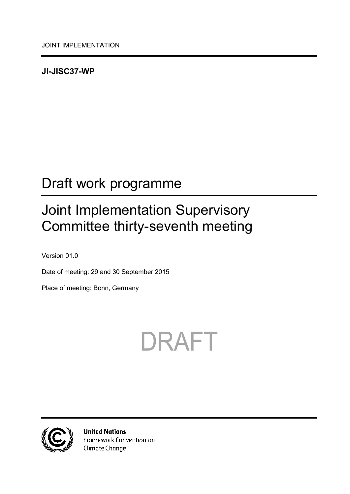### <span id="page-0-0"></span>**JI-JISC37-WP**

## <span id="page-0-1"></span>Draft work programme

## <span id="page-0-2"></span>Joint Implementation Supervisory Committee thirty-seventh meeting

<span id="page-0-3"></span>Version 01.0

Date of meeting: 29 and 30 September 2015

Place of meeting: Bonn, Germany





**United Nations** Framework Convention on Climate Change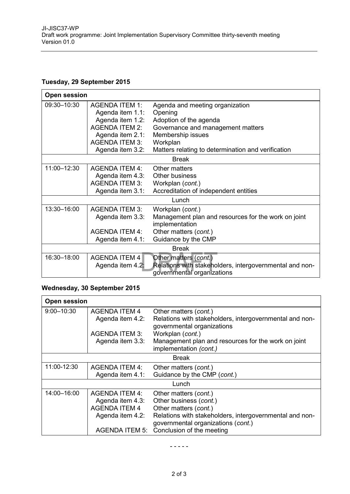#### **Tuesday, 29 September 2015**

| <b>Open session</b> |                       |                                                         |  |
|---------------------|-----------------------|---------------------------------------------------------|--|
| 09:30-10:30         | <b>AGENDA ITEM 1:</b> | Agenda and meeting organization                         |  |
|                     | Agenda item 1.1:      | Opening                                                 |  |
|                     | Agenda item 1.2:      | Adoption of the agenda                                  |  |
|                     | <b>AGENDA ITEM 2:</b> | Governance and management matters                       |  |
|                     | Agenda item 2.1:      | Membership issues                                       |  |
|                     | <b>AGENDA ITEM 3:</b> | Workplan                                                |  |
|                     | Agenda item 3.2:      | Matters relating to determination and verification      |  |
| <b>Break</b>        |                       |                                                         |  |
| 11:00-12:30         | <b>AGENDA ITEM 4:</b> | Other matters                                           |  |
|                     | Agenda item 4.3:      | Other business                                          |  |
|                     | <b>AGENDA ITEM 3:</b> | Workplan (cont.)                                        |  |
|                     | Agenda item 3.1:      | Accreditation of independent entities                   |  |
| Lunch               |                       |                                                         |  |
| 13:30-16:00         | <b>AGENDA ITEM 3:</b> | Workplan (cont.)                                        |  |
|                     | Agenda item 3.3:      | Management plan and resources for the work on joint     |  |
|                     |                       | implementation                                          |  |
|                     | <b>AGENDA ITEM 4:</b> | Other matters (cont.)                                   |  |
|                     | Agenda item 4.1:      | Guidance by the CMP                                     |  |
| <b>Break</b>        |                       |                                                         |  |
| 16:30-18:00         | <b>AGENDA ITEM 4</b>  | Other matters (cont.)                                   |  |
|                     | Agenda item 4.2:      | Relations with stakeholders, intergovernmental and non- |  |
|                     |                       | governmental organizations                              |  |

#### **Wednesday, 30 September 2015**

| <b>Open session</b> |                       |                                                                                       |  |  |
|---------------------|-----------------------|---------------------------------------------------------------------------------------|--|--|
| $9:00 - 10:30$      | <b>AGENDA ITEM 4</b>  | Other matters (cont.)                                                                 |  |  |
|                     | Agenda item 4.2:      | Relations with stakeholders, intergovernmental and non-<br>governmental organizations |  |  |
|                     | <b>AGENDA ITEM 3:</b> | Workplan (cont.)                                                                      |  |  |
|                     | Agenda item 3.3:      | Management plan and resources for the work on joint<br>implementation (cont.)         |  |  |
| <b>Break</b>        |                       |                                                                                       |  |  |
| 11:00-12:30         | <b>AGENDA ITEM 4:</b> | Other matters (cont.)                                                                 |  |  |
|                     | Agenda item 4.1:      | Guidance by the CMP (cont.)                                                           |  |  |
| Lunch               |                       |                                                                                       |  |  |
| 14:00-16:00         | <b>AGENDA ITEM 4:</b> | Other matters (cont.)                                                                 |  |  |
|                     | Agenda item 4.3:      | Other business (cont.)                                                                |  |  |
|                     | <b>AGENDA ITEM 4</b>  | Other matters (cont.)                                                                 |  |  |
|                     | Agenda item 4.2:      | Relations with stakeholders, intergovernmental and non-                               |  |  |
|                     |                       | governmental organizations (cont.)                                                    |  |  |
|                     |                       | AGENDA ITEM 5: Conclusion of the meeting                                              |  |  |

- - - - -